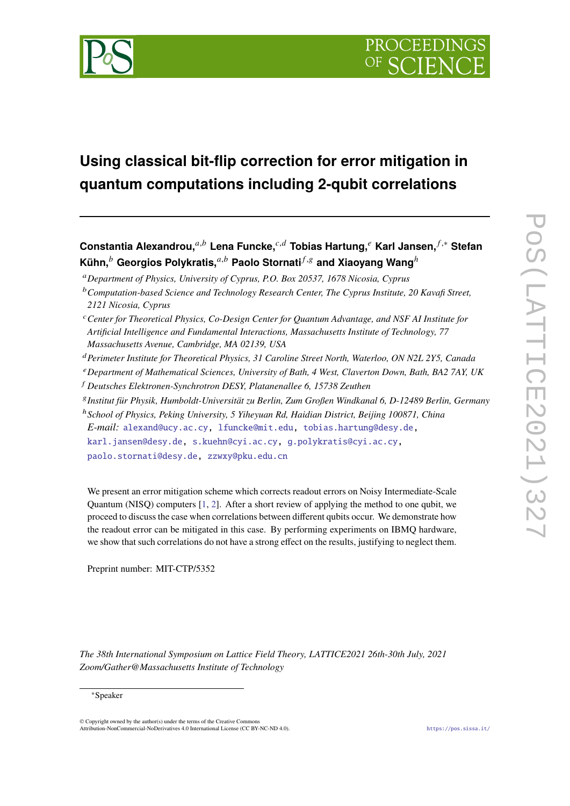

# **Using classical bit-flip correction for error mitigation in quantum computations including 2-qubit correlations**

**Constantia Alexandrou,**<sup>a,b</sup> Lena Funcke,<sup>*c*,d</sup> Tobias Hartung,<sup>e</sup> Karl Jansen, *f*,\* Stefan **Kühn, Ceorgios Polykratis,**  $a,b$  Paolo Stornati $f.s$  and Xiaoyang Wang  $h$ 

*Department of Physics, University of Cyprus, P.O. Box 20537, 1678 Nicosia, Cyprus*

- *Perimeter Institute for Theoretical Physics, 31 Caroline Street North, Waterloo, ON N2L 2Y5, Canada*
- *Department of Mathematical Sciences, University of Bath, 4 West, Claverton Down, Bath, BA2 7AY, UK*
- *Deutsches Elektronen-Synchrotron DESY, Platanenallee 6, 15738 Zeuthen*
- *Institut für Physik, Humboldt-Universität zu Berlin, Zum Großen Windkanal 6, D-12489 Berlin, Germany*

<sup>ℎ</sup>*School of Physics, Peking University, 5 Yiheyuan Rd, Haidian District, Beijing 100871, China E-mail:* [alexand@ucy.ac.cy,](mailto:alexand@ucy.ac.cy) [lfuncke@mit.edu,](mailto:lfuncke@mit.edu) [tobias.hartung@desy.de,](mailto:tobias.hartung@desy.de) [karl.jansen@desy.de,](mailto:karl.jansen@desy.de) [s.kuehn@cyi.ac.cy,](mailto:s.kuehn@cyi.ac.cy) [g.polykratis@cyi.ac.cy,](mailto:g.polykratis@cyi.ac.cy) [paolo.stornati@desy.de,](mailto:paolo.stornati@desy.de) [zzwxy@pku.edu.cn](mailto:zzwxy@pku.edu.cn)

We present an error mitigation scheme which corrects readout errors on Noisy Intermediate-Scale Quantum (NISQ) computers [\[1,](#page-7-0) [2\]](#page-7-1). After a short review of applying the method to one qubit, we proceed to discuss the case when correlations between different qubits occur. We demonstrate how the readout error can be mitigated in this case. By performing experiments on IBMQ hardware, we show that such correlations do not have a strong effect on the results, justifying to neglect them.

Preprint number: MIT-CTP/5352

*The 38th International Symposium on Lattice Field Theory, LATTICE2021 26th-30th July, 2021 Zoom/Gather@Massachusetts Institute of Technology*

© Copyright owned by the author(s) under the terms of the Creative Commons Attribution-NonCommercial-NoDerivatives 4.0 International License (CC BY-NC-ND 4.0). <https://pos.sissa.it/>

*Computation-based Science and Technology Research Center, The Cyprus Institute, 20 Kavafi Street, 2121 Nicosia, Cyprus*

*Center for Theoretical Physics, Co-Design Center for Quantum Advantage, and NSF AI Institute for Artificial Intelligence and Fundamental Interactions, Massachusetts Institute of Technology, 77 Massachusetts Avenue, Cambridge, MA 02139, USA*

<sup>∗</sup>Speaker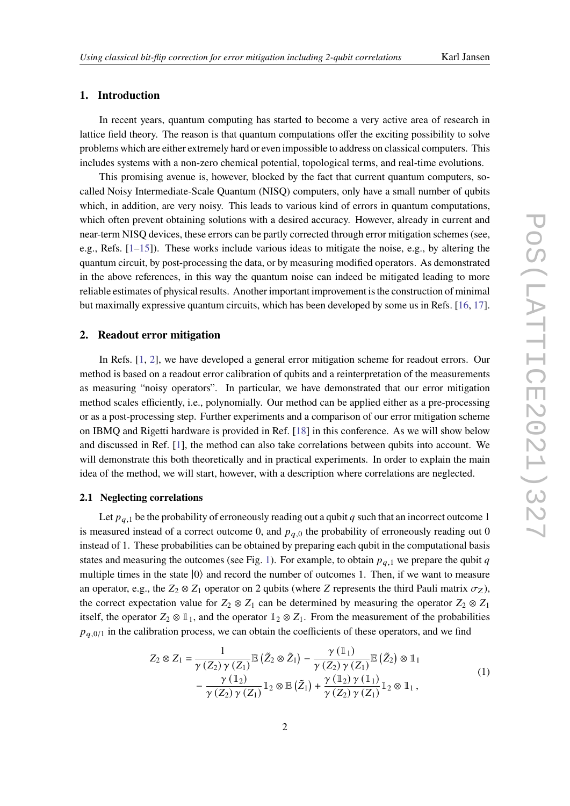# **1. Introduction**

In recent years, quantum computing has started to become a very active area of research in lattice field theory. The reason is that quantum computations offer the exciting possibility to solve problems which are either extremely hard or even impossible to address on classical computers. This includes systems with a non-zero chemical potential, topological terms, and real-time evolutions.

This promising avenue is, however, blocked by the fact that current quantum computers, socalled Noisy Intermediate-Scale Quantum (NISQ) computers, only have a small number of qubits which, in addition, are very noisy. This leads to various kind of errors in quantum computations, which often prevent obtaining solutions with a desired accuracy. However, already in current and near-term NISQ devices, these errors can be partly corrected through error mitigation schemes (see, e.g., Refs.  $[1-15]$  $[1-15]$ ). These works include various ideas to mitigate the noise, e.g., by altering the quantum circuit, by post-processing the data, or by measuring modified operators. As demonstrated in the above references, in this way the quantum noise can indeed be mitigated leading to more reliable estimates of physical results. Another important improvement is the construction of minimal but maximally expressive quantum circuits, which has been developed by some us in Refs. [\[16,](#page-8-1) [17\]](#page-8-2).

# **2. Readout error mitigation**

In Refs. [\[1,](#page-7-0) [2\]](#page-7-1), we have developed a general error mitigation scheme for readout errors. Our method is based on a readout error calibration of qubits and a reinterpretation of the measurements as measuring "noisy operators". In particular, we have demonstrated that our error mitigation method scales efficiently, i.e., polynomially. Our method can be applied either as a pre-processing or as a post-processing step. Further experiments and a comparison of our error mitigation scheme on IBMQ and Rigetti hardware is provided in Ref. [\[18\]](#page-8-3) in this conference. As we will show below and discussed in Ref. [\[1\]](#page-7-0), the method can also take correlations between qubits into account. We will demonstrate this both theoretically and in practical experiments. In order to explain the main idea of the method, we will start, however, with a description where correlations are neglected.

### **2.1 Neglecting correlations**

Let  $p_{q,1}$  be the probability of erroneously reading out a qubit q such that an incorrect outcome 1 is measured instead of a correct outcome 0, and  $p_{a,0}$  the probability of erroneously reading out 0 instead of 1. These probabilities can be obtained by preparing each qubit in the computational basis states and measuring the outcomes (see Fig. [1\)](#page-3-0). For example, to obtain  $p_{q,1}$  we prepare the qubit q multiple times in the state  $|0\rangle$  and record the number of outcomes 1. Then, if we want to measure an operator, e.g., the  $Z_2 \otimes Z_1$  operator on 2 qubits (where Z represents the third Pauli matrix  $\sigma_Z$ ), the correct expectation value for  $Z_2 \otimes Z_1$  can be determined by measuring the operator  $Z_2 \otimes Z_1$ itself, the operator  $Z_2 \otimes \mathbb{1}_1$ , and the operator  $\mathbb{1}_2 \otimes Z_1$ . From the measurement of the probabilities  $p_{q,0/1}$  in the calibration process, we can obtain the coefficients of these operators, and we find

<span id="page-1-0"></span>
$$
Z_2 \otimes Z_1 = \frac{1}{\gamma(Z_2)\gamma(Z_1)} \mathbb{E} \left( \tilde{Z}_2 \otimes \tilde{Z}_1 \right) - \frac{\gamma(\mathbb{1}_1)}{\gamma(Z_2)\gamma(Z_1)} \mathbb{E} \left( \tilde{Z}_2 \right) \otimes \mathbb{1}_1
$$
  
 
$$
- \frac{\gamma(\mathbb{1}_2)}{\gamma(Z_2)\gamma(Z_1)} \mathbb{1}_2 \otimes \mathbb{E} \left( \tilde{Z}_1 \right) + \frac{\gamma(\mathbb{1}_2)\gamma(\mathbb{1}_1)}{\gamma(Z_2)\gamma(Z_1)} \mathbb{1}_2 \otimes \mathbb{1}_1,
$$
 (1)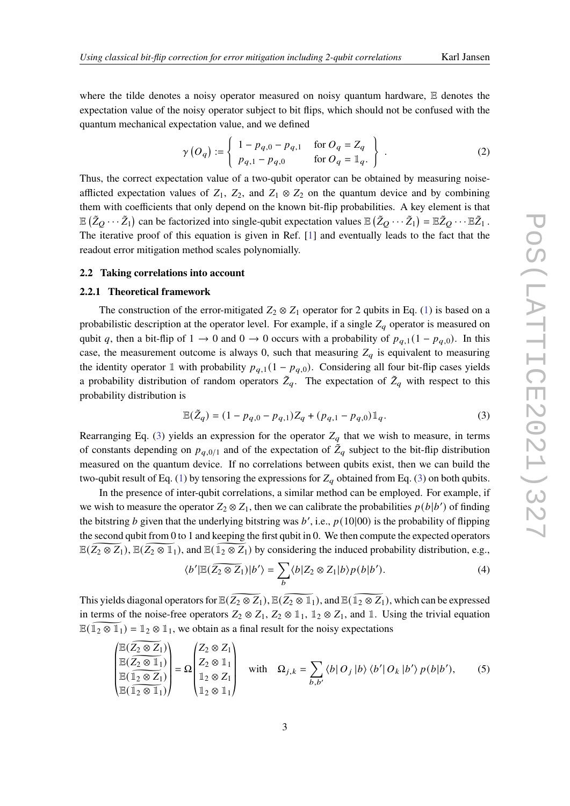where the tilde denotes a noisy operator measured on noisy quantum hardware, E denotes the expectation value of the noisy operator subject to bit flips, which should not be confused with the quantum mechanical expectation value, and we defined

$$
\gamma\left(O_q\right) := \left\{\begin{array}{ll}1 - p_{q,0} - p_{q,1} & \text{for } O_q = Z_q\\p_{q,1} - p_{q,0} & \text{for } O_q = \mathbb{1}_q\end{array}\right\}\tag{2}
$$

Thus, the correct expectation value of a two-qubit operator can be obtained by measuring noiseafflicted expectation values of  $Z_1$ ,  $Z_2$ , and  $Z_1 \otimes Z_2$  on the quantum device and by combining them with coefficients that only depend on the known bit-flip probabilities. A key element is that  $\mathbb{E}(\tilde{Z}_Q\cdots\tilde{Z}_1)$  can be factorized into single-qubit expectation values  $\mathbb{E}(\tilde{Z}_Q\cdots\tilde{Z}_1)=\mathbb{E}\tilde{Z}_Q\cdots\mathbb{E}\tilde{Z}_1$ . The iterative proof of this equation is given in Ref. [\[1\]](#page-7-0) and eventually leads to the fact that the readout error mitigation method scales polynomially.

#### **2.2 Taking correlations into account**

#### **2.2.1 Theoretical framework**

The construction of the error-mitigated  $Z_2 \otimes Z_1$  operator for 2 qubits in Eq. [\(1\)](#page-1-0) is based on a probabilistic description at the operator level. For example, if a single  $Z_q$  operator is measured on qubit q, then a bit-flip of 1  $\rightarrow$  0 and 0  $\rightarrow$  0 occurs with a probability of  $p_{q,1}(1 - p_{q,0})$ . In this case, the measurement outcome is always 0, such that measuring  $Z_q$  is equivalent to measuring the identity operator 1 with probability  $p_{q,1} (1 - p_{q,0})$ . Considering all four bit-flip cases yields a probability distribution of random operators  $\tilde{Z}_q$ . The expectation of  $\tilde{Z}_q$  with respect to this probability distribution is

<span id="page-2-0"></span>
$$
\mathbb{E}(\tilde{Z}_q) = (1 - p_{q,0} - p_{q,1})Z_q + (p_{q,1} - p_{q,0})\mathbb{1}_q.
$$
\n(3)

Rearranging Eq. [\(3\)](#page-2-0) yields an expression for the operator  $Z_q$  that we wish to measure, in terms of constants depending on  $p_{q,0/1}$  and of the expectation of  $\tilde{Z}_q$  subject to the bit-flip distribution measured on the quantum device. If no correlations between qubits exist, then we can build the two-qubit result of Eq. [\(1\)](#page-1-0) by tensoring the expressions for  $Z_q$  obtained from Eq. [\(3\)](#page-2-0) on both qubits.

In the presence of inter-qubit correlations, a similar method can be employed. For example, if we wish to measure the operator  $Z_2 \otimes Z_1$ , then we can calibrate the probabilities  $p(b|b')$  of finding the bitstring *b* given that the underlying bitstring was *b'*, i.e.,  $p(10|00)$  is the probability of flipping the second qubit from 0 to 1 and keeping the first qubit in 0. We then compute the expected operators  $E(Z_2 \otimes Z_1)$ ,  $E(Z_2 \otimes I_1)$ , and  $E(\overline{1_2 \otimes Z_1})$  by considering the induced probability distribution, e.g.,

<span id="page-2-1"></span>
$$
\langle b' | \mathbb{E}(\widetilde{Z_2 \otimes Z_1}) | b' \rangle = \sum_b \langle b | Z_2 \otimes Z_1 | b \rangle p(b | b'). \tag{4}
$$

This yields diagonal operators for  $\mathbb{E}(\widetilde{Z_2 \otimes Z_1})$ ,  $\mathbb{E}(\widetilde{Z_2 \otimes \mathbb{1}_1})$ , and  $\mathbb{E}(\widetilde{Z_2 \otimes Z_1})$ , which can be expressed in terms of the noise-free operators  $Z_2 \otimes Z_1$ ,  $Z_2 \otimes \mathbb{1}_1$ ,  $\mathbb{1}_2 \otimes Z_1$ , and  $\mathbb{1}$ . Using the trivial equation  $\mathbb{E}(\mathbb{1}_2 \otimes \mathbb{1}_1) = \mathbb{1}_2 \otimes \mathbb{1}_1$ , we obtain as a final result for the noisy expectations

$$
\begin{pmatrix}\n\mathbb{E}(\overline{Z_2 \otimes Z_1}) \\
\mathbb{E}(\overline{Z_2 \otimes Z_1}) \\
\mathbb{E}(\overline{Z_2 \otimes Z_1}) \\
\mathbb{E}(\overline{Z_2 \otimes Z_1})\n\end{pmatrix} = \Omega \begin{pmatrix}\nZ_2 \otimes Z_1 \\
Z_2 \otimes Z_1 \\
\mathbb{1}_2 \otimes Z_1 \\
\mathbb{1}_2 \otimes Z_1\n\end{pmatrix} \quad \text{with} \quad \Omega_{j,k} = \sum_{b,b'} \langle b | O_j | b \rangle \langle b' | O_k | b' \rangle p(b|b'), \tag{5}
$$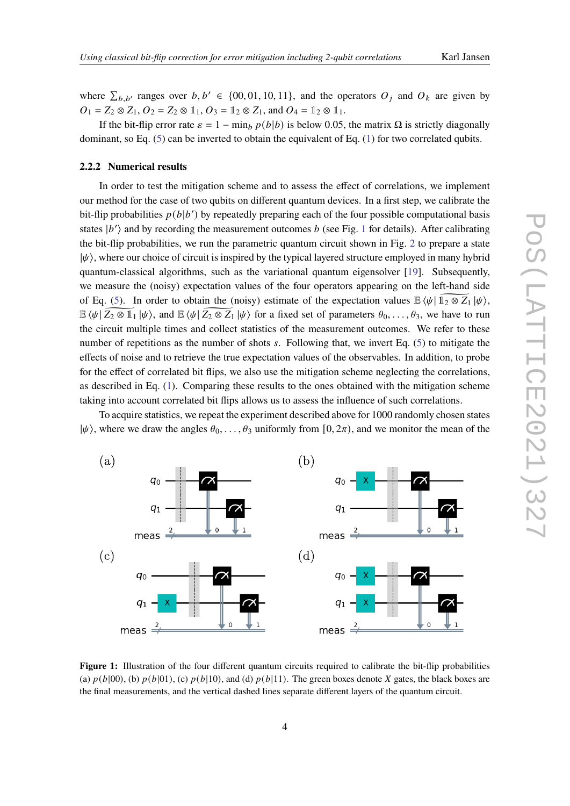where  $\sum_{b,b'}$  ranges over  $b, b' \in \{00, 01, 10, 11\}$ , and the operators  $O_i$  and  $O_k$  are given by  $O_1 = Z_2 \otimes Z_1, O_2 = Z_2 \otimes \mathbb{1}_1, O_3 = \mathbb{1}_2 \otimes Z_1$ , and  $O_4 = \mathbb{1}_2 \otimes \mathbb{1}_1$ .

If the bit-flip error rate  $\varepsilon = 1 - \min_b p(b|b)$  is below 0.05, the matrix  $\Omega$  is strictly diagonally dominant, so Eq.  $(5)$  can be inverted to obtain the equivalent of Eq.  $(1)$  for two correlated qubits.

#### **2.2.2 Numerical results**

In order to test the mitigation scheme and to assess the effect of correlations, we implement our method for the case of two qubits on different quantum devices. In a first step, we calibrate the bit-flip probabilities  $p(b|b')$  by repeatedly preparing each of the four possible computational basis states  $|b'\rangle$  and by recording the measurement outcomes b (see Fig. [1](#page-3-0) for details). After calibrating the bit-flip probabilities, we run the parametric quantum circuit shown in Fig. [2](#page-4-0) to prepare a state  $|\psi\rangle$ , where our choice of circuit is inspired by the typical layered structure employed in many hybrid quantum-classical algorithms, such as the variational quantum eigensolver [\[19\]](#page-8-4). Subsequently, we measure the (noisy) expectation values of the four operators appearing on the left-hand side of Eq. [\(5\)](#page-2-1). In order to obtain the (noisy) estimate of the expectation values  $\mathbb{E} \langle \psi | 1_2 \otimes Z_1 | \psi \rangle$ ,  $\mathbb{E} \langle \psi | Z_2 \otimes \mathbb{1}_1 | \psi \rangle$ , and  $\mathbb{E} \langle \psi | Z_2 \otimes Z_1 | \psi \rangle$  for a fixed set of parameters  $\theta_0, \ldots, \theta_3$ , we have to run the circuit multiple times and collect statistics of the measurement outcomes. We refer to these number of repetitions as the number of shots  $s$ . Following that, we invert Eq. [\(5\)](#page-2-1) to mitigate the effects of noise and to retrieve the true expectation values of the observables. In addition, to probe for the effect of correlated bit flips, we also use the mitigation scheme neglecting the correlations, as described in Eq. [\(1\)](#page-1-0). Comparing these results to the ones obtained with the mitigation scheme taking into account correlated bit flips allows us to assess the influence of such correlations.

To acquire statistics, we repeat the experiment described above for 1000 randomly chosen states  $|\psi\rangle$ , where we draw the angles  $\theta_0, \ldots, \theta_3$  uniformly from  $[0, 2\pi)$ , and we monitor the mean of the

<span id="page-3-0"></span>

**Figure 1:** Illustration of the four different quantum circuits required to calibrate the bit-flip probabilities (a)  $p(b|00)$ , (b)  $p(b|01)$ , (c)  $p(b|10)$ , and (d)  $p(b|11)$ . The green boxes denote X gates, the black boxes are the final measurements, and the vertical dashed lines separate different layers of the quantum circuit.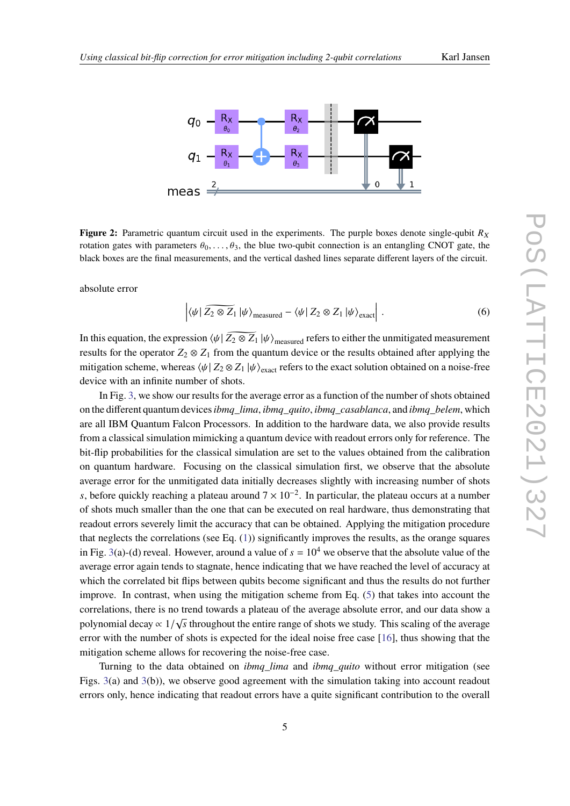<span id="page-4-0"></span>

**Figure 2:** Parametric quantum circuit used in the experiments. The purple boxes denote single-qubit  $R_X$ rotation gates with parameters  $\theta_0, \ldots, \theta_3$ , the blue two-qubit connection is an entangling CNOT gate, the black boxes are the final measurements, and the vertical dashed lines separate different layers of the circuit.

absolute error

<span id="page-4-1"></span>
$$
\left| \langle \psi | \widetilde{Z_2 \otimes Z_1} | \psi \rangle_{\text{measured}} - \langle \psi | Z_2 \otimes Z_1 | \psi \rangle_{\text{exact}} \right| \,. \tag{6}
$$

In this equation, the expression  $\langle \psi | \overline{Z_2 \otimes Z_1} | \psi \rangle_{\text{measured}}$  refers to either the unmitigated measurement results for the operator  $Z_2 \otimes Z_1$  from the quantum device or the results obtained after applying the mitigation scheme, whereas  $\psi | Z_2 \otimes Z_1 | \psi \rangle_{\text{exact}}$  refers to the exact solution obtained on a noise-free device with an infinite number of shots.

In Fig. [3,](#page-5-0) we show our results for the average error as a function of the number of shots obtained on the different quantum devices*ibmq\_lima*, *ibmq\_quito*, *ibmq\_casablanca*, and *ibmq\_belem*, which are all IBM Quantum Falcon Processors. In addition to the hardware data, we also provide results from a classical simulation mimicking a quantum device with readout errors only for reference. The bit-flip probabilities for the classical simulation are set to the values obtained from the calibration on quantum hardware. Focusing on the classical simulation first, we observe that the absolute average error for the unmitigated data initially decreases slightly with increasing number of shots s, before quickly reaching a plateau around  $7 \times 10^{-2}$ . In particular, the plateau occurs at a number of shots much smaller than the one that can be executed on real hardware, thus demonstrating that readout errors severely limit the accuracy that can be obtained. Applying the mitigation procedure that neglects the correlations (see Eq. [\(1\)](#page-1-0)) significantly improves the results, as the orange squares in Fig. [3\(](#page-5-0)a)-(d) reveal. However, around a value of  $s = 10<sup>4</sup>$  we observe that the absolute value of the average error again tends to stagnate, hence indicating that we have reached the level of accuracy at which the correlated bit flips between qubits become significant and thus the results do not further improve. In contrast, when using the mitigation scheme from Eq. [\(5\)](#page-2-1) that takes into account the correlations, there is no trend towards a plateau of the average absolute error, and our data show a polynomial decay  $\propto 1/\sqrt{s}$  throughout the entire range of shots we study. This scaling of the average error with the number of shots is expected for the ideal noise free case [\[16\]](#page-8-1), thus showing that the mitigation scheme allows for recovering the noise-free case.

Turning to the data obtained on *ibmq\_lima* and *ibmq\_quito* without error mitigation (see Figs. [3\(](#page-5-0)a) and [3\(](#page-5-0)b)), we observe good agreement with the simulation taking into account readout errors only, hence indicating that readout errors have a quite significant contribution to the overall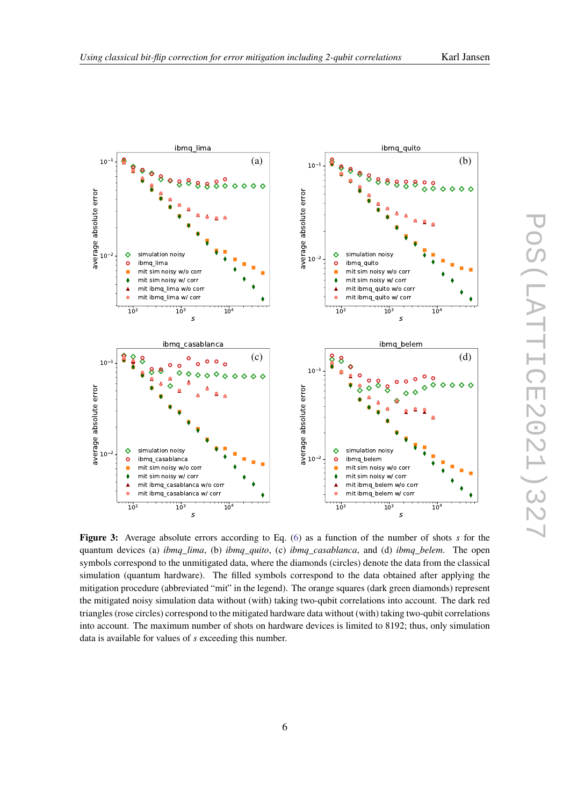<span id="page-5-0"></span>

**Figure 3:** Average absolute errors according to Eq. [\(6\)](#page-4-1) as a function of the number of shots *s* for the quantum devices (a) *ibmq\_lima*, (b) *ibmq\_quito*, (c) *ibmq\_casablanca*, and (d) *ibmq\_belem*. The open symbols correspond to the unmitigated data, where the diamonds (circles) denote the data from the classical simulation (quantum hardware). The filled symbols correspond to the data obtained after applying the mitigation procedure (abbreviated "mit" in the legend). The orange squares (dark green diamonds) represent the mitigated noisy simulation data without (with) taking two-qubit correlations into account. The dark red triangles (rose circles) correspond to the mitigated hardware data without (with) taking two-qubit correlations into account. The maximum number of shots on hardware devices is limited to 8192; thus, only simulation data is available for values of *s* exceeding this number.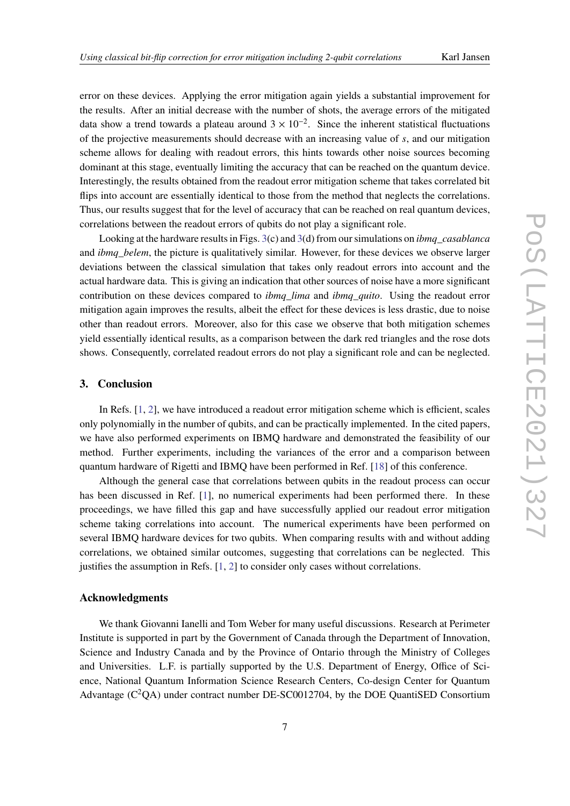error on these devices. Applying the error mitigation again yields a substantial improvement for the results. After an initial decrease with the number of shots, the average errors of the mitigated data show a trend towards a plateau around  $3 \times 10^{-2}$ . Since the inherent statistical fluctuations of the projective measurements should decrease with an increasing value of  $s$ , and our mitigation scheme allows for dealing with readout errors, this hints towards other noise sources becoming dominant at this stage, eventually limiting the accuracy that can be reached on the quantum device. Interestingly, the results obtained from the readout error mitigation scheme that takes correlated bit flips into account are essentially identical to those from the method that neglects the correlations. Thus, our results suggest that for the level of accuracy that can be reached on real quantum devices, correlations between the readout errors of qubits do not play a significant role.

Looking at the hardware results in Figs. [3\(](#page-5-0)c) and [3\(](#page-5-0)d) from our simulations on *ibmq\_casablanca* and *ibmq\_belem*, the picture is qualitatively similar. However, for these devices we observe larger deviations between the classical simulation that takes only readout errors into account and the actual hardware data. This is giving an indication that other sources of noise have a more significant contribution on these devices compared to *ibmq\_lima* and *ibmq\_quito*. Using the readout error mitigation again improves the results, albeit the effect for these devices is less drastic, due to noise other than readout errors. Moreover, also for this case we observe that both mitigation schemes yield essentially identical results, as a comparison between the dark red triangles and the rose dots shows. Consequently, correlated readout errors do not play a significant role and can be neglected.

# **3. Conclusion**

In Refs. [\[1,](#page-7-0) [2\]](#page-7-1), we have introduced a readout error mitigation scheme which is efficient, scales only polynomially in the number of qubits, and can be practically implemented. In the cited papers, we have also performed experiments on IBMQ hardware and demonstrated the feasibility of our method. Further experiments, including the variances of the error and a comparison between quantum hardware of Rigetti and IBMQ have been performed in Ref. [\[18\]](#page-8-3) of this conference.

Although the general case that correlations between qubits in the readout process can occur has been discussed in Ref. [\[1\]](#page-7-0), no numerical experiments had been performed there. In these proceedings, we have filled this gap and have successfully applied our readout error mitigation scheme taking correlations into account. The numerical experiments have been performed on several IBMQ hardware devices for two qubits. When comparing results with and without adding correlations, we obtained similar outcomes, suggesting that correlations can be neglected. This justifies the assumption in Refs. [\[1,](#page-7-0) [2\]](#page-7-1) to consider only cases without correlations.

#### **Acknowledgments**

We thank Giovanni Ianelli and Tom Weber for many useful discussions. Research at Perimeter Institute is supported in part by the Government of Canada through the Department of Innovation, Science and Industry Canada and by the Province of Ontario through the Ministry of Colleges and Universities. L.F. is partially supported by the U.S. Department of Energy, Office of Science, National Quantum Information Science Research Centers, Co-design Center for Quantum Advantage  $(C^2QA)$  under contract number DE-SC0012704, by the DOE QuantiSED Consortium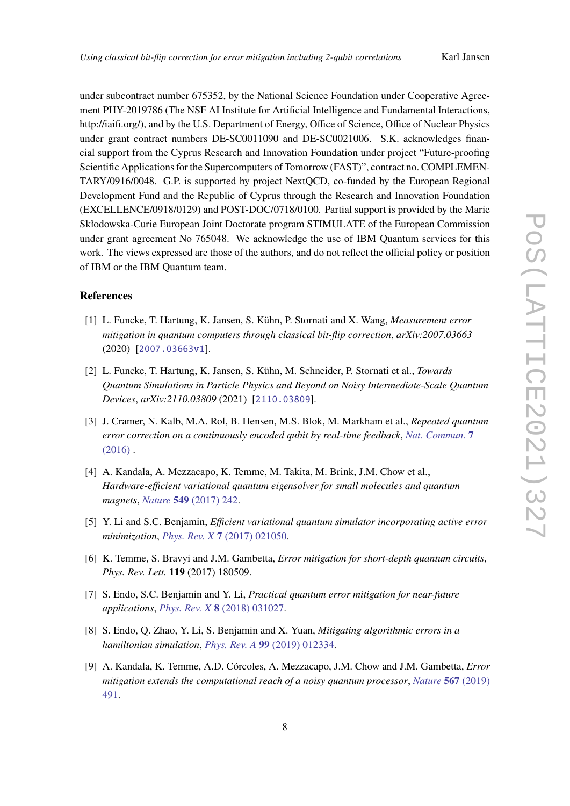under subcontract number 675352, by the National Science Foundation under Cooperative Agreement PHY-2019786 (The NSF AI Institute for Artificial Intelligence and Fundamental Interactions, http://iaifi.org/), and by the U.S. Department of Energy, Office of Science, Office of Nuclear Physics under grant contract numbers DE-SC0011090 and DE-SC0021006. S.K. acknowledges financial support from the Cyprus Research and Innovation Foundation under project "Future-proofing Scientific Applications for the Supercomputers of Tomorrow (FAST)", contract no. COMPLEMEN-TARY/0916/0048. G.P. is supported by project NextQCD, co-funded by the European Regional Development Fund and the Republic of Cyprus through the Research and Innovation Foundation (EXCELLENCE/0918/0129) and POST-DOC/0718/0100. Partial support is provided by the Marie Skłodowska-Curie European Joint Doctorate program STIMULATE of the European Commission under grant agreement No 765048. We acknowledge the use of IBM Quantum services for this work. The views expressed are those of the authors, and do not reflect the official policy or position of IBM or the IBM Quantum team.

# **References**

- <span id="page-7-0"></span>[1] L. Funcke, T. Hartung, K. Jansen, S. Kühn, P. Stornati and X. Wang, *Measurement error mitigation in quantum computers through classical bit-flip correction*, *arXiv:2007.03663* (2020) [[2007.03663v1](https://arxiv.org/abs/2007.03663v1)].
- <span id="page-7-1"></span>[2] L. Funcke, T. Hartung, K. Jansen, S. Kühn, M. Schneider, P. Stornati et al., *Towards Quantum Simulations in Particle Physics and Beyond on Noisy Intermediate-Scale Quantum Devices*, *arXiv:2110.03809* (2021) [[2110.03809](https://arxiv.org/abs/2110.03809)].
- [3] J. Cramer, N. Kalb, M.A. Rol, B. Hensen, M.S. Blok, M. Markham et al., *Repeated quantum error correction on a continuously encoded qubit by real-time feedback*, *[Nat. Commun.](https://doi.org/10.1038/ncomms11526)* **7**  $(2016)$ .
- [4] A. Kandala, A. Mezzacapo, K. Temme, M. Takita, M. Brink, J.M. Chow et al., *Hardware-efficient variational quantum eigensolver for small molecules and quantum magnets*, *Nature* **549** [\(2017\) 242.](https://doi.org/10.1038/nature23879)
- [5] Y. Li and S.C. Benjamin, *Efficient variational quantum simulator incorporating active error minimization*, *Phys. Rev. X* **7** [\(2017\) 021050.](https://doi.org/10.1103/PhysRevX.7.021050)
- [6] K. Temme, S. Bravyi and J.M. Gambetta, *Error mitigation for short-depth quantum circuits*, *Phys. Rev. Lett.* **119** (2017) 180509.
- [7] S. Endo, S.C. Benjamin and Y. Li, *Practical quantum error mitigation for near-future applications*, *Phys. Rev. X* **8** [\(2018\) 031027.](https://doi.org/10.1103/PhysRevX.8.031027)
- [8] S. Endo, Q. Zhao, Y. Li, S. Benjamin and X. Yuan, *Mitigating algorithmic errors in a hamiltonian simulation*, *Phys. Rev. A* **99** [\(2019\) 012334.](https://doi.org/10.1103/PhysRevA.99.012334)
- [9] A. Kandala, K. Temme, A.D. Córcoles, A. Mezzacapo, J.M. Chow and J.M. Gambetta, *Error mitigation extends the computational reach of a noisy quantum processor*, *[Nature](https://doi.org/10.1038/s41586-019-1040-7)* **567** (2019) [491.](https://doi.org/10.1038/s41586-019-1040-7)